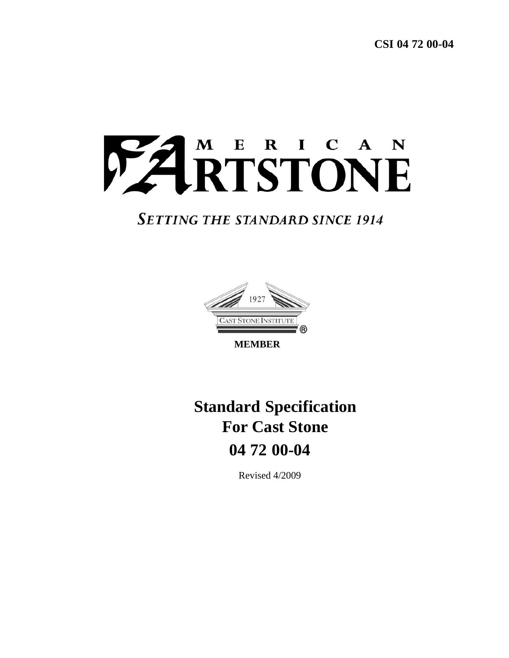

# **SETTING THE STANDARD SINCE 1914**



**MEMBER** 

# **Standard Specification For Cast Stone 04 72 00-04**

Revised 4/2009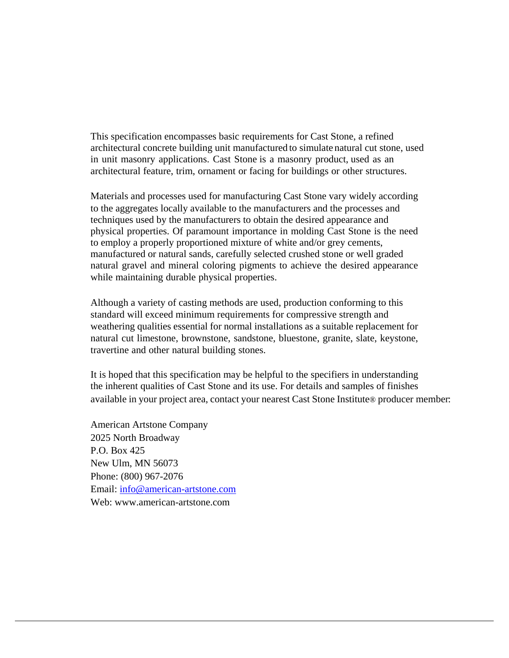This specification encompasses basic requirements for Cast Stone, a refined architectural concrete building unit manufactured to simulate natural cut stone, used in unit masonry applications. Cast Stone is a masonry product, used as an architectural feature, trim, ornament or facing for buildings or other structures.

Materials and processes used for manufacturing Cast Stone vary widely according to the aggregates locally available to the manufacturers and the processes and techniques used by the manufacturers to obtain the desired appearance and physical properties. Of paramount importance in molding Cast Stone is the need to employ a properly proportioned mixture of white and/or grey cements, manufactured or natural sands, carefully selected crushed stone or well graded natural gravel and mineral coloring pigments to achieve the desired appearance while maintaining durable physical properties.

Although a variety of casting methods are used, production conforming to this standard will exceed minimum requirements for compressive strength and weathering qualities essential for normal installations as a suitable replacement for natural cut limestone, brownstone, sandstone, bluestone, granite, slate, keystone, travertine and other natural building stones.

It is hoped that this specification may be helpful to the specifiers in understanding the inherent qualities of Cast Stone and its use. For details and samples of finishes available in your project area, contact your nearest Cast Stone Institute® producer member:

American Artstone Company 2025 North Broadway P.O. Box 425 New Ulm, MN 56073 Phone: (800) 967-2076 Email: info@american-artstone.com Web: www.american-artstone.com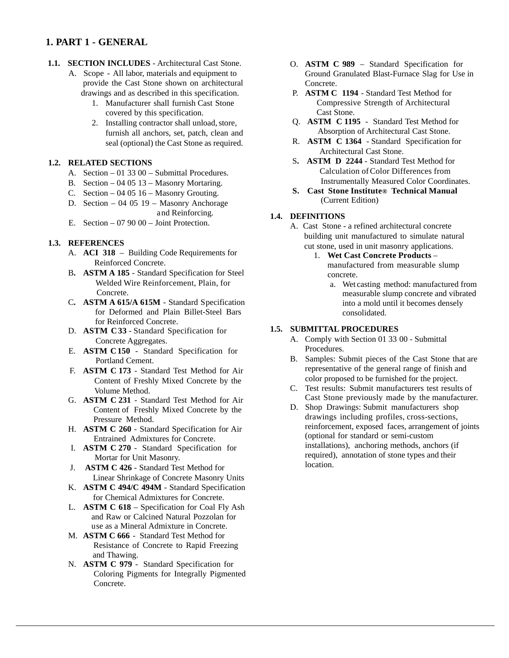# **1. PART 1 - GENERAL**

- **1.1. SECTION INCLUDES**  Architectural Cast Stone.
	- A. Scope All labor, materials and equipment to provide the Cast Stone shown on architectural drawings and as described in this specification.
		- 1. Manufacturer shall furnish Cast Stone covered by this specification.
		- 2. Installing contractor shall unload, store, furnish all anchors, set, patch, clean and seal (optional) the Cast Stone as required.

#### **1.2. RELATED SECTIONS**

- A. Section 01 33 00 Submittal Procedures.
- B. Section 04 05 13 Masonry Mortaring.
- C. Section  $-040516$  Masonry Grouting.
- D. Section 04 05 19 Masonry Anchorage and Reinforcing.
- E. Section 07 90 00 Joint Protection.

#### **1.3. REFERENCES**

- A. **ACI 318** Building Code Requirements for Reinforced Concrete.
- B**. ASTM A 185** Standard Specification for Steel Welded Wire Reinforcement, Plain, for Concrete.
- C**. ASTM A 615/A 615M** Standard Specification for Deformed and Plain Billet-Steel Bars for Reinforced Concrete.
- D. **ASTM C 33** Standard Specification for Concrete Aggregates.
- E. **ASTM C 150** Standard Specification for Portland Cement.
- F. **ASTM C 173** Standard Test Method for Air Content of Freshly Mixed Concrete by the Volume Method.
- G. **ASTM C 231** Standard Test Method for Air Content of Freshly Mixed Concrete by the Pressure Method.
- H. **ASTM C 260** Standard Specification for Air Entrained Admixtures for Concrete.
- I. **ASTM C 270** Standard Specification for Mortar for Unit Masonry.
- J. **ASTM C 426** Standard Test Method for Linear Shrinkage of Concrete Masonry Units
- K. **ASTM C 494/C 494M** Standard Specification for Chemical Admixtures for Concrete.
- L. **ASTM C 618** Specification for Coal Fly Ash and Raw or Calcined Natural Pozzolan for use as a Mineral Admixture in Concrete.
- M. **ASTM C 666** Standard Test Method for Resistance of Concrete to Rapid Freezing and Thawing.
- N. **ASTM C 979** Standard Specification for Coloring Pigments for Integrally Pigmented Concrete.
- O. **ASTM C 989** Standard Specification for Ground Granulated Blast-Furnace Slag for Use in Concrete.
- P. **ASTM C 1194** Standard Test Method for Compressive Strength of Architectural Cast Stone.
- Q. **ASTM C 1195** Standard Test Method for Absorption of Architectural Cast Stone.
- R. **ASTM C 1364** Standard Specification for Architectural Cast Stone.
- S**. ASTM D 2244** Standard Test Method for Calculation of Color Differences from Instrumentally Measured Color Coordinates.
- **S. Cast Stone Institute® Technical Manual**  (Current Edition)

#### **1.4. DEFINITIONS**

- A. Cast Stone a refined architectural concrete building unit manufactured to simulate natural cut stone, used in unit masonry applications.
	- 1. **Wet Cast Concrete Products** manufactured from measurable slump concrete.
		- a. Wet casting method: manufactured from measurable slump concrete and vibrated into a mold until it becomes densely consolidated.

#### **1.5. SUBMITTAL PROCEDURES**

- A. Comply with Section 01 33 00 Submittal Procedures.
- B. Samples: Submit pieces of the Cast Stone that are representative of the general range of finish and color proposed to be furnished for the project.
- C. Test results: Submit manufacturers test results of Cast Stone previously made by the manufacturer.
- D. Shop Drawings: Submit manufacturers shop drawings including profiles, cross-sections, reinforcement, exposed faces, arrangement of joints (optional for standard or semi-custom installations), anchoring methods, anchors (if required), annotation of stone types and their location.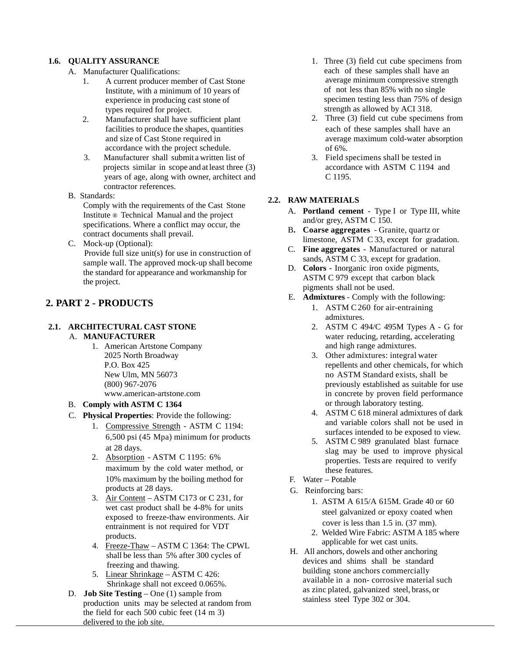#### **1.6. QUALITY ASSURANCE**

- A. Manufacturer Qualifications:
	- 1. A current producer member of Cast Stone Institute, with a minimum of 10 years of experience in producing cast stone of types required for project.
	- 2. Manufacturer shall have sufficient plant facilities to produce the shapes, quantities and size of Cast Stone required in accordance with the project schedule.
	- 3. Manufacturer shall submit a written list of projects similar in scope and at least three (3) years of age, along with owner, architect and contractor references.
- B. Standards:

Comply with the requirements of the Cast Stone Institute ® Technical Manual and the project specifications. Where a conflict may occur, the contract documents shall prevail.

C. Mock-up (Optional): Provide full size unit(s) for use in construction of sample wall. The approved mock-up shall become the standard for appearance and workmanship for the project.

# **2. PART 2 - PRODUCTS**

#### **2.1. ARCHITECTURAL CAST STONE** A. **MANUFACTURER**

 1.American Artstone Company 2025 North Broadway P.O. Box 425 New Ulm, MN 56073 (800) 967-2076 www.american-artstone.com

#### B. **Comply with ASTM C 1364**

- C. **Physical Properties**: Provide the following:
	- 1. Compressive Strength ASTM C 1194: 6,500 psi (45 Mpa) minimum for products at 28 days.
	- 2. Absorption ASTM C 1195: 6% maximum by the cold water method, or 10% maximum by the boiling method for products at 28 days.
	- 3. Air Content ASTM C173 or C 231, for wet cast product shall be 4-8% for units exposed to freeze-thaw environments. Air entrainment is not required for VDT products.
	- 4. Freeze-Thaw ASTM C 1364: The CPWL shall be less than 5% after 300 cycles of freezing and thawing.
	- 5. Linear Shrinkage ASTM C 426: Shrinkage shall not exceed 0.065%.
- D. **Job Site Testing** One (1) sample from production units may be selected at random from the field for each 500 cubic feet (14 m 3) delivered to the job site.
- 1. Three (3) field cut cube specimens from each of these samples shall have an average minimum compressive strength of not less than 85% with no single specimen testing less than 75% of design strength as allowed by ACI 318.
- 2. Three (3) field cut cube specimens from each of these samples shall have an average maximum cold-water absorption of 6%.
- 3. Field specimens shall be tested in accordance with ASTM C 1194 and C 1195.

#### **2.2. RAW MATERIALS**

- A. **Portland cement** Type I or Type III, white and/or grey, ASTM C 150.
- B**. Coarse aggregates** Granite, quartz or limestone, ASTM C 33, except for gradation.
- C. **Fine aggregates** Manufactured or natural sands, ASTM C 33, except for gradation.
- D. **Colors** Inorganic iron oxide pigments, ASTM C 979 except that carbon black pigments shall not be used.
- E. **Admixtures**  Comply with the following:
	- 1. ASTM C 260 for air-entraining admixtures.
	- 2. ASTM C 494/C 495M Types A G for water reducing, retarding, accelerating and high range admixtures.
	- 3. Other admixtures: integral water repellents and other chemicals, for which no ASTM Standard exists, shall be previously established as suitable for use in concrete by proven field performance or through laboratory testing.
	- 4. ASTM C 618 mineral admixtures of dark and variable colors shall not be used in surfaces intended to be exposed to view.
	- 5. ASTM C 989 granulated blast furnace slag may be used to improve physical properties. Tests are required to verify these features.
- F. Water Potable
- G. Reinforcing bars:
	- 1. ASTM A 615/A 615M. Grade 40 or 60 steel galvanized or epoxy coated when cover is less than 1.5 in. (37 mm).
	- 2. Welded Wire Fabric: ASTM A 185 where applicable for wet cast units.
- H. All anchors, dowels and other anchoring devices and shims shall be standard building stone anchors commercially available in a non- corrosive material such as zinc plated, galvanized steel, brass, or stainless steel Type 302 or 304.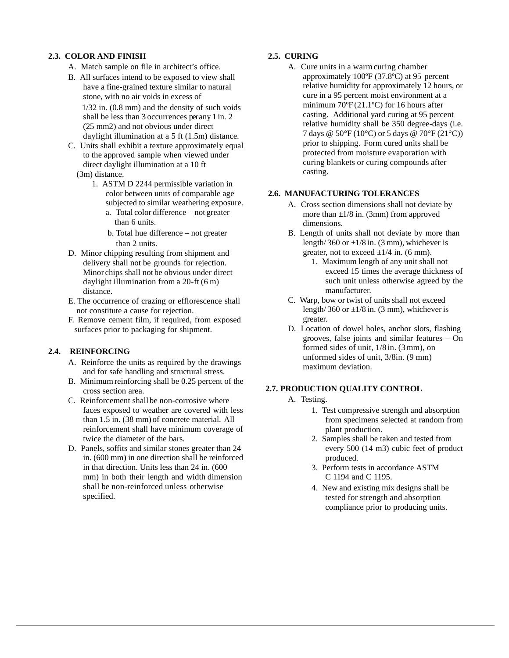#### **2.3. COLOR AND FINISH**

- A. Match sample on file in architect's office.
- B. All surfaces intend to be exposed to view shall have a fine-grained texture similar to natural stone, with no air voids in excess of 1/32 in. (0.8 mm) and the density of such voids shall be less than 3 occurrences per any 1 in. 2

(25 mm2) and not obvious under direct daylight illumination at a 5 ft (1.5m) distance.

- C. Units shall exhibit a texture approximately equal to the approved sample when viewed under direct daylight illumination at a 10 ft (3m) distance.
	- 1. ASTM D 2244 permissible variation in color between units of comparable age subjected to similar weathering exposure.
		- a. Total color difference not greater than 6 units.

b. Total hue difference – not greater than 2 units.

- D. Minor chipping resulting from shipment and delivery shall not be grounds for rejection. Minor chips shall not be obvious under direct daylight illumination from a 20-ft (6 m) distance.
- E. The occurrence of crazing or efflorescence shall not constitute a cause for rejection.
- F. Remove cement film, if required, from exposed surfaces prior to packaging for shipment.

#### **2.4. REINFORCING**

- A. Reinforce the units as required by the drawings and for safe handling and structural stress.
- B. Minimum reinforcing shall be 0.25 percent of the cross section area.
- C. Reinforcement shall be non-corrosive where faces exposed to weather are covered with less than 1.5 in. (38 mm) of concrete material. All reinforcement shall have minimum coverage of twice the diameter of the bars.
- D. Panels, soffits and similar stones greater than 24 in. (600 mm) in one direction shall be reinforced in that direction. Units less than 24 in. (600 mm) in both their length and width dimension shall be non-reinforced unless otherwise specified.

#### **2.5. CURING**

A. Cure units in a warm curing chamber approximately 100ºF (37.8ºC) at 95 percent relative humidity for approximately 12 hours, or cure in a 95 percent moist environment at a minimum 70ºF (21.1ºC) for 16 hours after casting. Additional yard curing at 95 percent relative humidity shall be 350 degree-days (i.e. 7 days @ 50°F (10°C) or 5 days @ 70°F (21°C)) prior to shipping. Form cured units shall be protected from moisture evaporation with curing blankets or curing compounds after casting.

#### **2.6. MANUFACTURING TOLERANCES**

- A. Cross section dimensions shall not deviate by more than  $\pm 1/8$  in. (3mm) from approved dimensions.
- B. Length of units shall not deviate by more than length/ 360 or  $\pm 1/8$  in. (3 mm), whichever is greater, not to exceed  $\pm 1/4$  in. (6 mm).
	- 1. Maximum length of any unit shall not exceed 15 times the average thickness of such unit unless otherwise agreed by the manufacturer.
- C. Warp, bow or twist of units shall not exceed length/ 360 or  $\pm 1/8$  in. (3 mm), whichever is greater.
- D. Location of dowel holes, anchor slots, flashing grooves, false joints and similar features – On formed sides of unit, 1/8 in. (3 mm), on unformed sides of unit, 3/8in. (9 mm) maximum deviation.

#### **2.7. PRODUCTION QUALITY CONTROL**

- A. Testing.
	- 1. Test compressive strength and absorption from specimens selected at random from plant production.
	- 2. Samples shall be taken and tested from every 500 (14 m3) cubic feet of product produced.
	- 3. Perform tests in accordance ASTM C 1194 and C 1195.
	- 4. New and existing mix designs shall be tested for strength and absorption compliance prior to producing units.